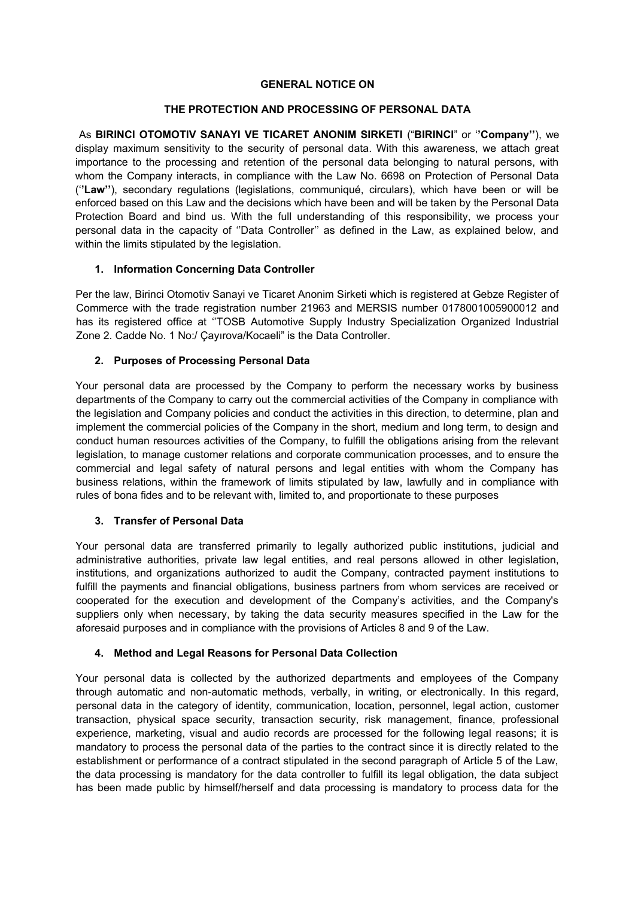#### **GENERAL NOTICE ON**

# **THE PROTECTION AND PROCESSING OF PERSONAL DATA**

As **BIRINCI OTOMOTIV SANAYI VE TICARET ANONIM SIRKETI** ("**BIRINCI**" or '**'Company''**), we display maximum sensitivity to the security of personal data. With this awareness, we attach great importance to the processing and retention of the personal data belonging to natural persons, with whom the Company interacts, in compliance with the Law No. 6698 on Protection of Personal Data ('**'Law''**), secondary regulations (legislations, communiqué, circulars), which have been or will be enforced based on this Law and the decisions which have been and will be taken by the Personal Data Protection Board and bind us. With the full understanding of this responsibility, we process your personal data in the capacity of ''Data Controller'' as defined in the Law, as explained below, and within the limits stipulated by the legislation.

### **1. Information Concerning Data Controller**

Per the law, Birinci Otomotiv Sanayi ve Ticaret Anonim Sirketi which is registered at Gebze Register of Commerce with the trade registration number 21963 and MERSIS number 0178001005900012 and has its registered office at ''TOSB Automotive Supply Industry Specialization Organized Industrial Zone 2. Cadde No. 1 No:/ Çayırova/Kocaeli" is the Data Controller.

## **2. Purposes of Processing Personal Data**

Your personal data are processed by the Company to perform the necessary works by business departments of the Company to carry out the commercial activities of the Company in compliance with the legislation and Company policies and conduct the activities in this direction, to determine, plan and implement the commercial policies of the Company in the short, medium and long term, to design and conduct human resources activities of the Company, to fulfill the obligations arising from the relevant legislation, to manage customer relations and corporate communication processes, and to ensure the commercial and legal safety of natural persons and legal entities with whom the Company has business relations, within the framework of limits stipulated by law, lawfully and in compliance with rules of bona fides and to be relevant with, limited to, and proportionate to these purposes

### **3. Transfer of Personal Data**

Your personal data are transferred primarily to legally authorized public institutions, judicial and administrative authorities, private law legal entities, and real persons allowed in other legislation, institutions, and organizations authorized to audit the Company, contracted payment institutions to fulfill the payments and financial obligations, business partners from whom services are received or cooperated for the execution and development of the Company's activities, and the Company's suppliers only when necessary, by taking the data security measures specified in the Law for the aforesaid purposes and in compliance with the provisions of Articles 8 and 9 of the Law.

### **4. Method and Legal Reasons for Personal Data Collection**

Your personal data is collected by the authorized departments and employees of the Company through automatic and non-automatic methods, verbally, in writing, or electronically. In this regard, personal data in the category of identity, communication, location, personnel, legal action, customer transaction, physical space security, transaction security, risk management, finance, professional experience, marketing, visual and audio records are processed for the following legal reasons; it is mandatory to process the personal data of the parties to the contract since it is directly related to the establishment or performance of a contract stipulated in the second paragraph of Article 5 of the Law, the data processing is mandatory for the data controller to fulfill its legal obligation, the data subject has been made public by himself/herself and data processing is mandatory to process data for the